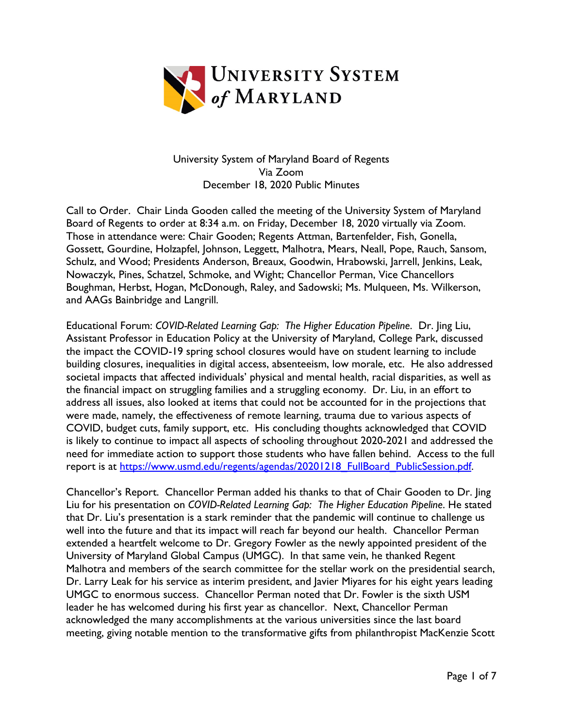

University System of Maryland Board of Regents Via Zoom December 18, 2020 Public Minutes

Call to Order. Chair Linda Gooden called the meeting of the University System of Maryland Board of Regents to order at 8:34 a.m. on Friday, December 18, 2020 virtually via Zoom. Those in attendance were: Chair Gooden; Regents Attman, Bartenfelder, Fish, Gonella, Gossett, Gourdine, Holzapfel, Johnson, Leggett, Malhotra, Mears, Neall, Pope, Rauch, Sansom, Schulz, and Wood; Presidents Anderson, Breaux, Goodwin, Hrabowski, Jarrell, Jenkins, Leak, Nowaczyk, Pines, Schatzel, Schmoke, and Wight; Chancellor Perman, Vice Chancellors Boughman, Herbst, Hogan, McDonough, Raley, and Sadowski; Ms. Mulqueen, Ms. Wilkerson, and AAGs Bainbridge and Langrill.

Educational Forum: *COVID-Related Learning Gap: The Higher Education Pipeline*. Dr. Jing Liu, Assistant Professor in Education Policy at the University of Maryland, College Park, discussed the impact the COVID-19 spring school closures would have on student learning to include building closures, inequalities in digital access, absenteeism, low morale, etc. He also addressed societal impacts that affected individuals' physical and mental health, racial disparities, as well as the financial impact on struggling families and a struggling economy. Dr. Liu, in an effort to address all issues, also looked at items that could not be accounted for in the projections that were made, namely, the effectiveness of remote learning, trauma due to various aspects of COVID, budget cuts, family support, etc. His concluding thoughts acknowledged that COVID is likely to continue to impact all aspects of schooling throughout 2020-2021 and addressed the need for immediate action to support those students who have fallen behind. Access to the full report is at [https://www.usmd.edu/regents/agendas/20201218\\_FullBoard\\_PublicSession.pdf.](https://www.usmd.edu/regents/agendas/20201218_FullBoard_PublicSession.pdf)

Chancellor's Report. Chancellor Perman added his thanks to that of Chair Gooden to Dr. Jing Liu for his presentation on *COVID-Related Learning Gap: The Higher Education Pipeline*. He stated that Dr. Liu's presentation is a stark reminder that the pandemic will continue to challenge us well into the future and that its impact will reach far beyond our health. Chancellor Perman extended a heartfelt welcome to Dr. Gregory Fowler as the newly appointed president of the University of Maryland Global Campus (UMGC). In that same vein, he thanked Regent Malhotra and members of the search committee for the stellar work on the presidential search, Dr. Larry Leak for his service as interim president, and Javier Miyares for his eight years leading UMGC to enormous success. Chancellor Perman noted that Dr. Fowler is the sixth USM leader he has welcomed during his first year as chancellor. Next, Chancellor Perman acknowledged the many accomplishments at the various universities since the last board meeting, giving notable mention to the transformative gifts from philanthropist MacKenzie Scott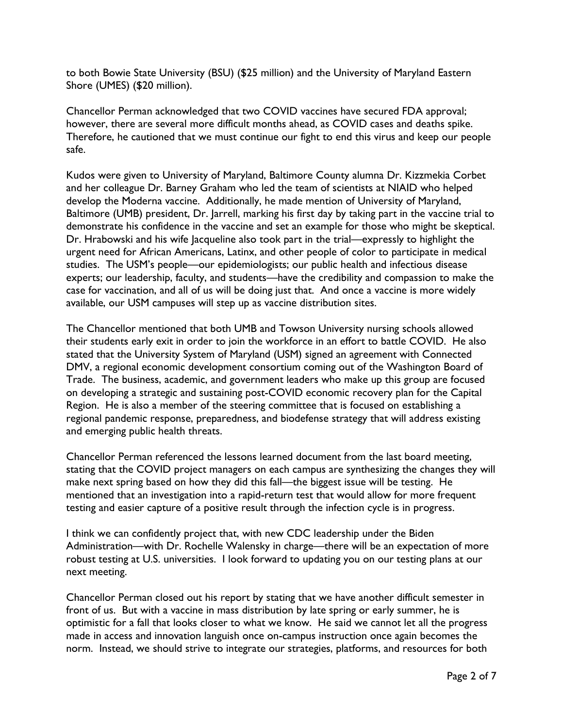to both Bowie State University (BSU) (\$25 million) and the University of Maryland Eastern Shore (UMES) (\$20 million).

Chancellor Perman acknowledged that two COVID vaccines have secured FDA approval; however, there are several more difficult months ahead, as COVID cases and deaths spike. Therefore, he cautioned that we must continue our fight to end this virus and keep our people safe.

Kudos were given to University of Maryland, Baltimore County alumna Dr. Kizzmekia Corbet and her colleague Dr. Barney Graham who led the team of scientists at NIAID who helped develop the Moderna vaccine. Additionally, he made mention of University of Maryland, Baltimore (UMB) president, Dr. Jarrell, marking his first day by taking part in the vaccine trial to demonstrate his confidence in the vaccine and set an example for those who might be skeptical. Dr. Hrabowski and his wife Jacqueline also took part in the trial—expressly to highlight the urgent need for African Americans, Latinx, and other people of color to participate in medical studies. The USM's people—our epidemiologists; our public health and infectious disease experts; our leadership, faculty, and students—have the credibility and compassion to make the case for vaccination, and all of us will be doing just that. And once a vaccine is more widely available, our USM campuses will step up as vaccine distribution sites.

The Chancellor mentioned that both UMB and Towson University nursing schools allowed their students early exit in order to join the workforce in an effort to battle COVID. He also stated that the University System of Maryland (USM) signed an agreement with Connected DMV, a regional economic development consortium coming out of the Washington Board of Trade. The business, academic, and government leaders who make up this group are focused on developing a strategic and sustaining post-COVID economic recovery plan for the Capital Region. He is also a member of the steering committee that is focused on establishing a regional pandemic response, preparedness, and biodefense strategy that will address existing and emerging public health threats.

Chancellor Perman referenced the lessons learned document from the last board meeting, stating that the COVID project managers on each campus are synthesizing the changes they will make next spring based on how they did this fall—the biggest issue will be testing. He mentioned that an investigation into a rapid-return test that would allow for more frequent testing and easier capture of a positive result through the infection cycle is in progress.

I think we can confidently project that, with new CDC leadership under the Biden Administration—with Dr. Rochelle Walensky in charge—there will be an expectation of more robust testing at U.S. universities. I look forward to updating you on our testing plans at our next meeting.

Chancellor Perman closed out his report by stating that we have another difficult semester in front of us. But with a vaccine in mass distribution by late spring or early summer, he is optimistic for a fall that looks closer to what we know. He said we cannot let all the progress made in access and innovation languish once on-campus instruction once again becomes the norm. Instead, we should strive to integrate our strategies, platforms, and resources for both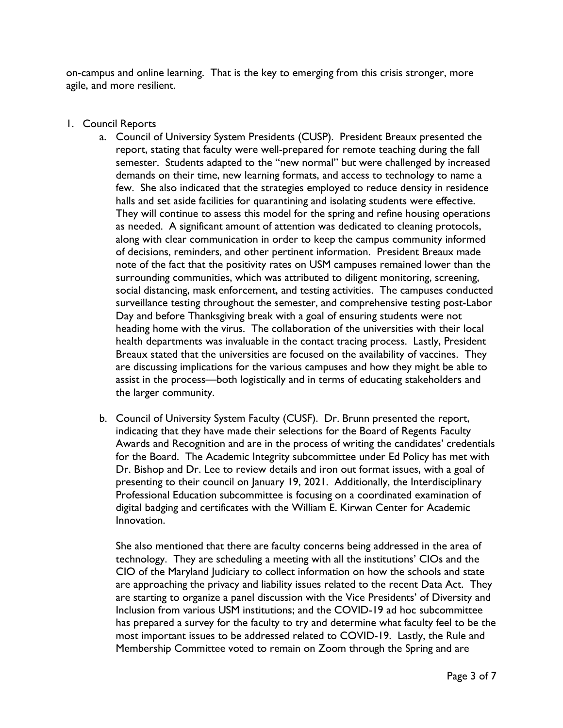on-campus and online learning. That is the key to emerging from this crisis stronger, more agile, and more resilient.

- 1. Council Reports
	- a. Council of University System Presidents (CUSP). President Breaux presented the report, stating that faculty were well-prepared for remote teaching during the fall semester. Students adapted to the "new normal" but were challenged by increased demands on their time, new learning formats, and access to technology to name a few. She also indicated that the strategies employed to reduce density in residence halls and set aside facilities for quarantining and isolating students were effective. They will continue to assess this model for the spring and refine housing operations as needed. A significant amount of attention was dedicated to cleaning protocols, along with clear communication in order to keep the campus community informed of decisions, reminders, and other pertinent information. President Breaux made note of the fact that the positivity rates on USM campuses remained lower than the surrounding communities, which was attributed to diligent monitoring, screening, social distancing, mask enforcement, and testing activities. The campuses conducted surveillance testing throughout the semester, and comprehensive testing post-Labor Day and before Thanksgiving break with a goal of ensuring students were not heading home with the virus. The collaboration of the universities with their local health departments was invaluable in the contact tracing process. Lastly, President Breaux stated that the universities are focused on the availability of vaccines. They are discussing implications for the various campuses and how they might be able to assist in the process—both logistically and in terms of educating stakeholders and the larger community.
	- b. Council of University System Faculty (CUSF). Dr. Brunn presented the report, indicating that they have made their selections for the Board of Regents Faculty Awards and Recognition and are in the process of writing the candidates' credentials for the Board. The Academic Integrity subcommittee under Ed Policy has met with Dr. Bishop and Dr. Lee to review details and iron out format issues, with a goal of presenting to their council on January 19, 2021. Additionally, the Interdisciplinary Professional Education subcommittee is focusing on a coordinated examination of digital badging and certificates with the William E. Kirwan Center for Academic Innovation.

She also mentioned that there are faculty concerns being addressed in the area of technology. They are scheduling a meeting with all the institutions' CIOs and the CIO of the Maryland Judiciary to collect information on how the schools and state are approaching the privacy and liability issues related to the recent Data Act. They are starting to organize a panel discussion with the Vice Presidents' of Diversity and Inclusion from various USM institutions; and the COVID-19 ad hoc subcommittee has prepared a survey for the faculty to try and determine what faculty feel to be the most important issues to be addressed related to COVID-19. Lastly, the Rule and Membership Committee voted to remain on Zoom through the Spring and are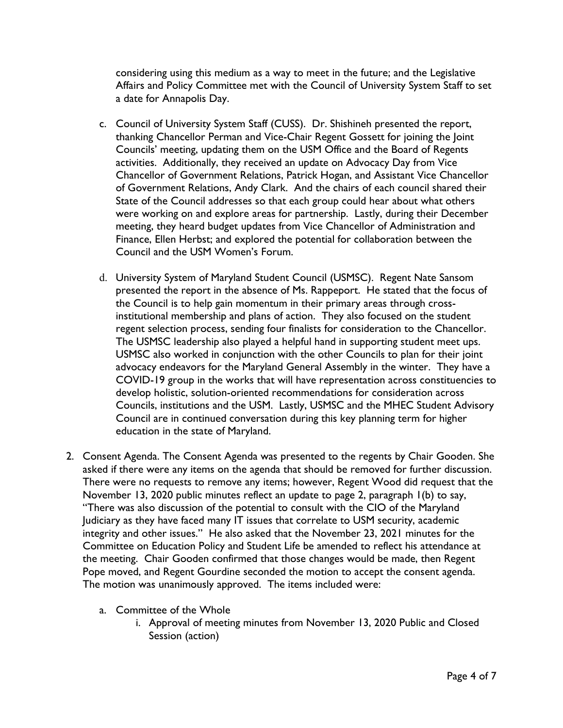considering using this medium as a way to meet in the future; and the Legislative Affairs and Policy Committee met with the Council of University System Staff to set a date for Annapolis Day.

- c. Council of University System Staff (CUSS). Dr. Shishineh presented the report, thanking Chancellor Perman and Vice-Chair Regent Gossett for joining the Joint Councils' meeting, updating them on the USM Office and the Board of Regents activities. Additionally, they received an update on Advocacy Day from Vice Chancellor of Government Relations, Patrick Hogan, and Assistant Vice Chancellor of Government Relations, Andy Clark. And the chairs of each council shared their State of the Council addresses so that each group could hear about what others were working on and explore areas for partnership. Lastly, during their December meeting, they heard budget updates from Vice Chancellor of Administration and Finance, Ellen Herbst; and explored the potential for collaboration between the Council and the USM Women's Forum.
- d. University System of Maryland Student Council (USMSC). Regent Nate Sansom presented the report in the absence of Ms. Rappeport. He stated that the focus of the Council is to help gain momentum in their primary areas through crossinstitutional membership and plans of action. They also focused on the student regent selection process, sending four finalists for consideration to the Chancellor. The USMSC leadership also played a helpful hand in supporting student meet ups. USMSC also worked in conjunction with the other Councils to plan for their joint advocacy endeavors for the Maryland General Assembly in the winter. They have a COVID-19 group in the works that will have representation across constituencies to develop holistic, solution-oriented recommendations for consideration across Councils, institutions and the USM. Lastly, USMSC and the MHEC Student Advisory Council are in continued conversation during this key planning term for higher education in the state of Maryland.
- 2. Consent Agenda. The Consent Agenda was presented to the regents by Chair Gooden. She asked if there were any items on the agenda that should be removed for further discussion. There were no requests to remove any items; however, Regent Wood did request that the November 13, 2020 public minutes reflect an update to page 2, paragraph 1(b) to say, "There was also discussion of the potential to consult with the CIO of the Maryland Judiciary as they have faced many IT issues that correlate to USM security, academic integrity and other issues." He also asked that the November 23, 2021 minutes for the Committee on Education Policy and Student Life be amended to reflect his attendance at the meeting. Chair Gooden confirmed that those changes would be made, then Regent Pope moved, and Regent Gourdine seconded the motion to accept the consent agenda. The motion was unanimously approved. The items included were:
	- a. Committee of the Whole
		- i. Approval of meeting minutes from November 13, 2020 Public and Closed Session (action)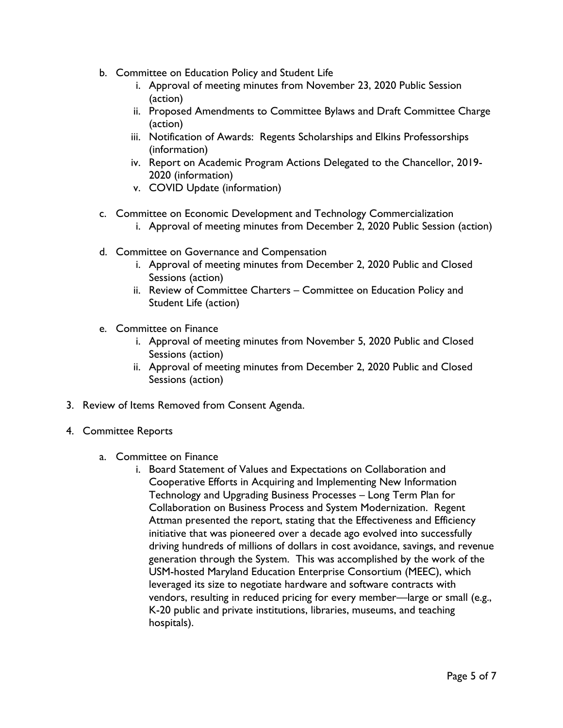- b. Committee on Education Policy and Student Life
	- i. Approval of meeting minutes from November 23, 2020 Public Session (action)
	- ii. Proposed Amendments to Committee Bylaws and Draft Committee Charge (action)
	- iii. Notification of Awards: Regents Scholarships and Elkins Professorships (information)
	- iv. Report on Academic Program Actions Delegated to the Chancellor, 2019- 2020 (information)
	- v. COVID Update (information)
- c. Committee on Economic Development and Technology Commercialization
	- i. Approval of meeting minutes from December 2, 2020 Public Session (action)
- d. Committee on Governance and Compensation
	- i. Approval of meeting minutes from December 2, 2020 Public and Closed Sessions (action)
	- ii. Review of Committee Charters Committee on Education Policy and Student Life (action)
- e. Committee on Finance
	- i. Approval of meeting minutes from November 5, 2020 Public and Closed Sessions (action)
	- ii. Approval of meeting minutes from December 2, 2020 Public and Closed Sessions (action)
- 3. Review of Items Removed from Consent Agenda.
- 4. Committee Reports
	- a. Committee on Finance
		- i. Board Statement of Values and Expectations on Collaboration and Cooperative Efforts in Acquiring and Implementing New Information Technology and Upgrading Business Processes – Long Term Plan for Collaboration on Business Process and System Modernization. Regent Attman presented the report, stating that the Effectiveness and Efficiency initiative that was pioneered over a decade ago evolved into successfully driving hundreds of millions of dollars in cost avoidance, savings, and revenue generation through the System. This was accomplished by the work of the USM-hosted Maryland Education Enterprise Consortium (MEEC), which leveraged its size to negotiate hardware and software contracts with vendors, resulting in reduced pricing for every member—large or small (e.g., K-20 public and private institutions, libraries, museums, and teaching hospitals).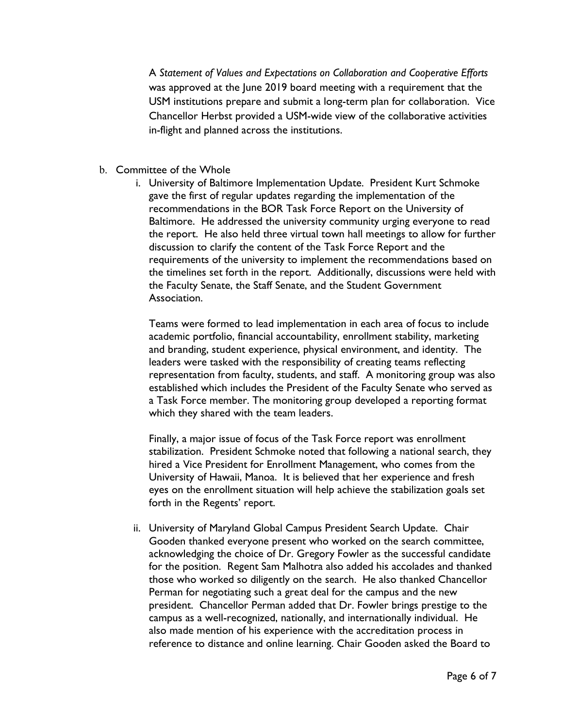A *Statement of Values and Expectations on Collaboration and Cooperative Efforts* was approved at the June 2019 board meeting with a requirement that the USM institutions prepare and submit a long-term plan for collaboration. Vice Chancellor Herbst provided a USM-wide view of the collaborative activities in-flight and planned across the institutions.

- b. Committee of the Whole
	- i. University of Baltimore Implementation Update. President Kurt Schmoke gave the first of regular updates regarding the implementation of the recommendations in the BOR Task Force Report on the University of Baltimore. He addressed the university community urging everyone to read the report. He also held three virtual town hall meetings to allow for further discussion to clarify the content of the Task Force Report and the requirements of the university to implement the recommendations based on the timelines set forth in the report. Additionally, discussions were held with the Faculty Senate, the Staff Senate, and the Student Government Association.

Teams were formed to lead implementation in each area of focus to include academic portfolio, financial accountability, enrollment stability, marketing and branding, student experience, physical environment, and identity. The leaders were tasked with the responsibility of creating teams reflecting representation from faculty, students, and staff. A monitoring group was also established which includes the President of the Faculty Senate who served as a Task Force member. The monitoring group developed a reporting format which they shared with the team leaders.

Finally, a major issue of focus of the Task Force report was enrollment stabilization. President Schmoke noted that following a national search, they hired a Vice President for Enrollment Management, who comes from the University of Hawaii, Manoa. It is believed that her experience and fresh eyes on the enrollment situation will help achieve the stabilization goals set forth in the Regents' report.

ii. University of Maryland Global Campus President Search Update. Chair Gooden thanked everyone present who worked on the search committee, acknowledging the choice of Dr. Gregory Fowler as the successful candidate for the position. Regent Sam Malhotra also added his accolades and thanked those who worked so diligently on the search. He also thanked Chancellor Perman for negotiating such a great deal for the campus and the new president. Chancellor Perman added that Dr. Fowler brings prestige to the campus as a well-recognized, nationally, and internationally individual. He also made mention of his experience with the accreditation process in reference to distance and online learning. Chair Gooden asked the Board to